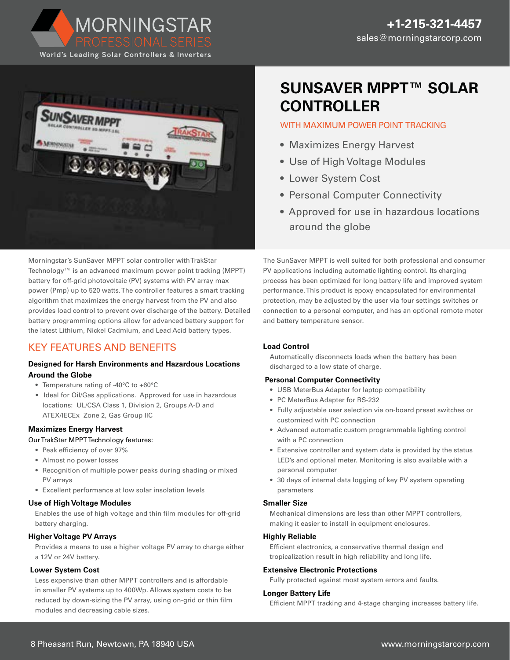World's Leading Solar Controllers & Inverters

MORNINGSTAR



Morningstar's SunSaver MPPT solar controller with TrakStar Technology™ is an advanced maximum power point tracking (MPPT) battery for off-grid photovoltaic (PV) systems with PV array max power (Pmp) up to 520 watts. The controller features a smart tracking algorithm that maximizes the energy harvest from the PV and also provides load control to prevent over discharge of the battery. Detailed battery programming options allow for advanced battery support for the latest Lithium, Nickel Cadmium, and Lead Acid battery types.

# KEY FEATURES AND BENEFITS

# **Designed for Harsh Environments and Hazardous Locations Around the Globe**

- Temperature rating of -40°C to +60°C
- Ideal for Oil/Gas applications. Approved for use in hazardous locations: UL/CSA Class 1, Division 2, Groups A-D and ATEX/IECEx Zone 2, Gas Group IIC

#### **Maximizes Energy Harvest**

#### Our TrakStar MPPT Technology features:

- Peak efficiency of over 97%
- Almost no power losses
- Recognition of multiple power peaks during shading or mixed PV arrays
- Excellent performance at low solar insolation levels

#### **Use of High Voltage Modules**

Enables the use of high voltage and thin film modules for off-grid battery charging.

#### **Higher Voltage PV Arrays**

Provides a means to use a higher voltage PV array to charge either a 12V or 24V battery.

#### **Lower System Cost**

Less expensive than other MPPT controllers and is affordable in smaller PV systems up to 400Wp. Allows system costs to be reduced by down-sizing the PV array, using on-grid or thin film modules and decreasing cable sizes.

# **SUNSAVER MPPT™ SOLAR CONTROLLER**

# WITH MAXIMUM POWER POINT TRACKING

- Maximizes Energy Harvest
- Use of High Voltage Modules
- Lower System Cost
- Personal Computer Connectivity
- Approved for use in hazardous locations around the globe

The SunSaver MPPT is well suited for both professional and consumer PV applications including automatic lighting control. Its charging process has been optimized for long battery life and improved system performance. This product is epoxy encapsulated for environmental protection, may be adjusted by the user via four settings switches or connection to a personal computer, and has an optional remote meter and battery temperature sensor.

# **Load Control**

Automatically disconnects loads when the battery has been discharged to a low state of charge.

# **Personal Computer Connectivity**

- USB MeterBus Adapter for laptop compatibility
- PC MeterBus Adapter for RS-232
- Fully adjustable user selection via on-board preset switches or customized with PC connection
- Advanced automatic custom programmable lighting control with a PC connection
- Extensive controller and system data is provided by the status LED's and optional meter. Monitoring is also available with a personal computer
- 30 days of internal data logging of key PV system operating parameters

# **Smaller Size**

Mechanical dimensions are less than other MPPT controllers, making it easier to install in equipment enclosures.

# **Highly Reliable**

Efficient electronics, a conservative thermal design and tropicalization result in high reliability and long life.

# **Extensive Electronic Protections**

Fully protected against most system errors and faults.

#### **Longer Battery Life**

Efficient MPPT tracking and 4-stage charging increases battery life.